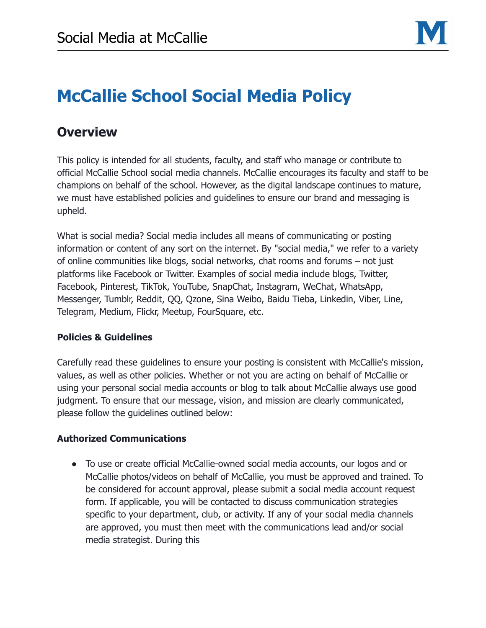

# **McCallie School Social Media Policy**

## **Overview**

This policy is intended for all students, faculty, and staff who manage or contribute to official McCallie School social media channels. McCallie encourages its faculty and staff to be champions on behalf of the school. However, as the digital landscape continues to mature, we must have established policies and guidelines to ensure our brand and messaging is upheld.

What is social media? Social media includes all means of communicating or posting information or content of any sort on the internet. By "social media," we refer to a variety of online communities like blogs, social networks, chat rooms and forums – not just platforms like Facebook or Twitter. Examples of social media include blogs, Twitter, Facebook, Pinterest, TikTok, YouTube, SnapChat, Instagram, WeChat, WhatsApp, Messenger, Tumblr, Reddit, QQ, Qzone, Sina Weibo, Baidu Tieba, Linkedin, Viber, Line, Telegram, Medium, Flickr, Meetup, FourSquare, etc.

### **Policies & Guidelines**

Carefully read these guidelines to ensure your posting is consistent with McCallie's mission, values, as well as other policies. Whether or not you are acting on behalf of McCallie or using your personal social media accounts or blog to talk about McCallie always use good judgment. To ensure that our message, vision, and mission are clearly communicated, please follow the guidelines outlined below:

### **Authorized Communications**

● To use or create official McCallie-owned social media accounts, our logos and or McCallie photos/videos on behalf of McCallie, you must be approved and trained. To be considered for account approval, please submit a social media account request form. If applicable, you will be contacted to discuss communication strategies specific to your department, club, or activity. If any of your social media channels are approved, you must then meet with the communications lead and/or social media strategist. During this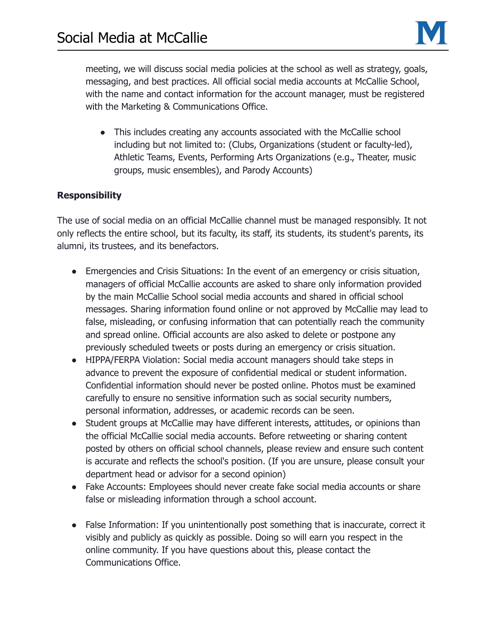

meeting, we will discuss social media policies at the school as well as strategy, goals, messaging, and best practices. All official social media accounts at McCallie School, with the name and contact information for the account manager, must be registered with the Marketing & Communications Office.

• This includes creating any accounts associated with the McCallie school including but not limited to: (Clubs, Organizations (student or faculty-led), Athletic Teams, Events, Performing Arts Organizations (e.g., Theater, music groups, music ensembles), and Parody Accounts)

### **Responsibility**

The use of social media on an official McCallie channel must be managed responsibly. It not only reflects the entire school, but its faculty, its staff, its students, its student's parents, its alumni, its trustees, and its benefactors.

- Emergencies and Crisis Situations: In the event of an emergency or crisis situation, managers of official McCallie accounts are asked to share only information provided by the main McCallie School social media accounts and shared in official school messages. Sharing information found online or not approved by McCallie may lead to false, misleading, or confusing information that can potentially reach the community and spread online. Official accounts are also asked to delete or postpone any previously scheduled tweets or posts during an emergency or crisis situation.
- HIPPA/FERPA Violation: Social media account managers should take steps in advance to prevent the exposure of confidential medical or student information. Confidential information should never be posted online. Photos must be examined carefully to ensure no sensitive information such as social security numbers, personal information, addresses, or academic records can be seen.
- Student groups at McCallie may have different interests, attitudes, or opinions than the official McCallie social media accounts. Before retweeting or sharing content posted by others on official school channels, please review and ensure such content is accurate and reflects the school's position. (If you are unsure, please consult your department head or advisor for a second opinion)
- Fake Accounts: Employees should never create fake social media accounts or share false or misleading information through a school account.
- False Information: If you unintentionally post something that is inaccurate, correct it visibly and publicly as quickly as possible. Doing so will earn you respect in the online community. If you have questions about this, please contact the Communications Office.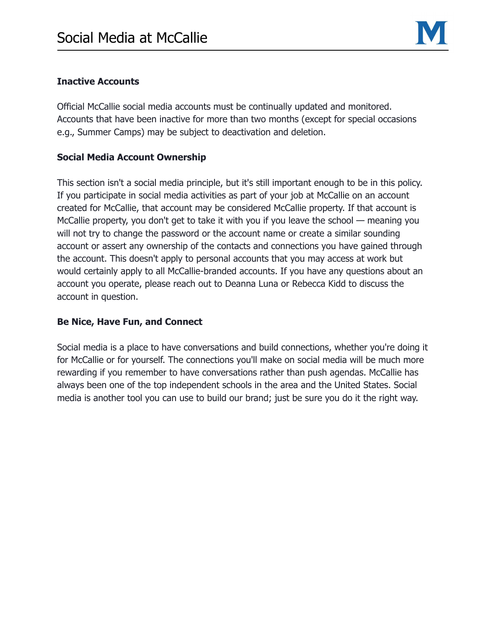

#### **Inactive Accounts**

Official McCallie social media accounts must be continually updated and monitored. Accounts that have been inactive for more than two months (except for special occasions e.g., Summer Camps) may be subject to deactivation and deletion.

### **Social Media Account Ownership**

This section isn't a social media principle, but it's still important enough to be in this policy. If you participate in social media activities as part of your job at McCallie on an account created for McCallie, that account may be considered McCallie property. If that account is McCallie property, you don't get to take it with you if you leave the school — meaning you will not try to change the password or the account name or create a similar sounding account or assert any ownership of the contacts and connections you have gained through the account. This doesn't apply to personal accounts that you may access at work but would certainly apply to all McCallie-branded accounts. If you have any questions about an account you operate, please reach out to Deanna Luna or Rebecca Kidd to discuss the account in question.

#### **Be Nice, Have Fun, and Connect**

Social media is a place to have conversations and build connections, whether you're doing it for McCallie or for yourself. The connections you'll make on social media will be much more rewarding if you remember to have conversations rather than push agendas. McCallie has always been one of the top independent schools in the area and the United States. Social media is another tool you can use to build our brand; just be sure you do it the right way.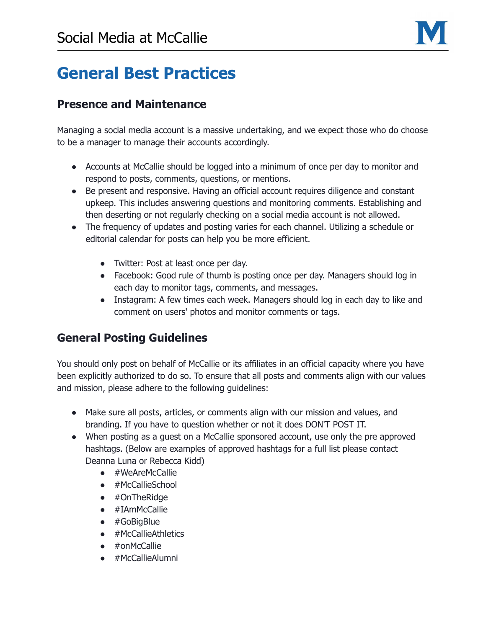

## **General Best Practices**

## **Presence and Maintenance**

Managing a social media account is a massive undertaking, and we expect those who do choose to be a manager to manage their accounts accordingly.

- Accounts at McCallie should be logged into a minimum of once per day to monitor and respond to posts, comments, questions, or mentions.
- Be present and responsive. Having an official account requires diligence and constant upkeep. This includes answering questions and monitoring comments. Establishing and then deserting or not regularly checking on a social media account is not allowed.
- The frequency of updates and posting varies for each channel. Utilizing a schedule or editorial calendar for posts can help you be more efficient.
	- Twitter: Post at least once per day.
	- Facebook: Good rule of thumb is posting once per day. Managers should log in each day to monitor tags, comments, and messages.
	- Instagram: A few times each week. Managers should log in each day to like and comment on users' photos and monitor comments or tags.

## **General Posting Guidelines**

You should only post on behalf of McCallie or its affiliates in an official capacity where you have been explicitly authorized to do so. To ensure that all posts and comments align with our values and mission, please adhere to the following guidelines:

- Make sure all posts, articles, or comments align with our mission and values, and branding. If you have to question whether or not it does DON'T POST IT.
- When posting as a guest on a McCallie sponsored account, use only the pre approved hashtags. (Below are examples of approved hashtags for a full list please contact Deanna Luna or Rebecca Kidd)
	- #WeAreMcCallie
	- #McCallieSchool
	- #OnTheRidge
	- #IAmMcCallie
	- #GoBigBlue
	- #McCallieAthletics
	- #onMcCallie
	- #McCallieAlumni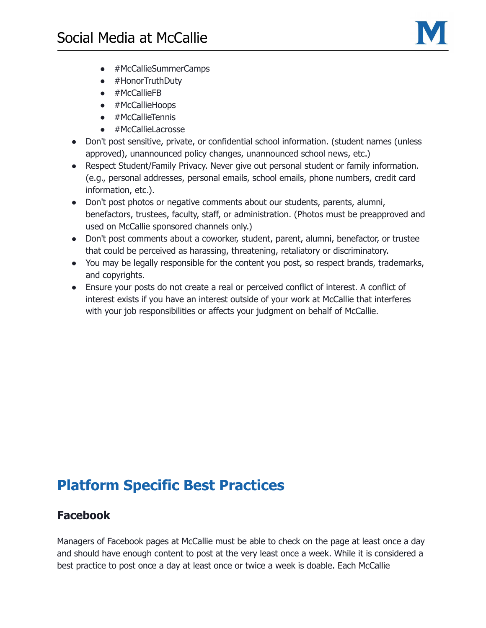

- #McCallieSummerCamps
- #HonorTruthDuty
- #McCallieFB
- #McCallieHoops
- #McCallieTennis
- #McCallieLacrosse
- Don't post sensitive, private, or confidential school information. (student names (unless approved), unannounced policy changes, unannounced school news, etc.)
- Respect Student/Family Privacy. Never give out personal student or family information. (e.g., personal addresses, personal emails, school emails, phone numbers, credit card information, etc.).
- Don't post photos or negative comments about our students, parents, alumni, benefactors, trustees, faculty, staff, or administration. (Photos must be preapproved and used on McCallie sponsored channels only.)
- Don't post comments about a coworker, student, parent, alumni, benefactor, or trustee that could be perceived as harassing, threatening, retaliatory or discriminatory.
- You may be legally responsible for the content you post, so respect brands, trademarks, and copyrights.
- Ensure your posts do not create a real or perceived conflict of interest. A conflict of interest exists if you have an interest outside of your work at McCallie that interferes with your job responsibilities or affects your judgment on behalf of McCallie.

## **Platform Specific Best Practices**

### **Facebook**

Managers of Facebook pages at McCallie must be able to check on the page at least once a day and should have enough content to post at the very least once a week. While it is considered a best practice to post once a day at least once or twice a week is doable. Each McCallie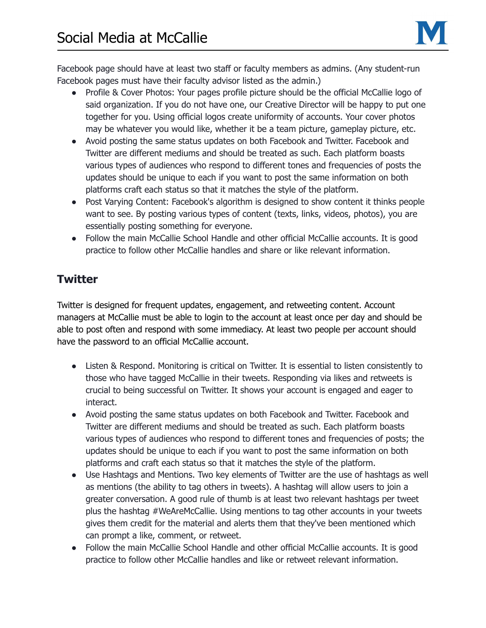

Facebook page should have at least two staff or faculty members as admins. (Any student-run Facebook pages must have their faculty advisor listed as the admin.)

- Profile & Cover Photos: Your pages profile picture should be the official McCallie logo of said organization. If you do not have one, our Creative Director will be happy to put one together for you. Using official logos create uniformity of accounts. Your cover photos may be whatever you would like, whether it be a team picture, gameplay picture, etc.
- Avoid posting the same status updates on both Facebook and Twitter. Facebook and Twitter are different mediums and should be treated as such. Each platform boasts various types of audiences who respond to different tones and frequencies of posts the updates should be unique to each if you want to post the same information on both platforms craft each status so that it matches the style of the platform.
- Post Varying Content: Facebook's algorithm is designed to show content it thinks people want to see. By posting various types of content (texts, links, videos, photos), you are essentially posting something for everyone.
- Follow the main McCallie School Handle and other official McCallie accounts. It is good practice to follow other McCallie handles and share or like relevant information.

## **Twitter**

Twitter is designed for frequent updates, engagement, and retweeting content. Account managers at McCallie must be able to login to the account at least once per day and should be able to post often and respond with some immediacy. At least two people per account should have the password to an official McCallie account.

- Listen & Respond. Monitoring is critical on Twitter. It is essential to listen consistently to those who have tagged McCallie in their tweets. Responding via likes and retweets is crucial to being successful on Twitter. It shows your account is engaged and eager to interact.
- Avoid posting the same status updates on both Facebook and Twitter. Facebook and Twitter are different mediums and should be treated as such. Each platform boasts various types of audiences who respond to different tones and frequencies of posts; the updates should be unique to each if you want to post the same information on both platforms and craft each status so that it matches the style of the platform.
- Use Hashtags and Mentions. Two key elements of Twitter are the use of hashtags as well as mentions (the ability to tag others in tweets). A hashtag will allow users to join a greater conversation. A good rule of thumb is at least two relevant hashtags per tweet plus the hashtag #WeAreMcCallie. Using mentions to tag other accounts in your tweets gives them credit for the material and alerts them that they've been mentioned which can prompt a like, comment, or retweet.
- Follow the main McCallie School Handle and other official McCallie accounts. It is good practice to follow other McCallie handles and like or retweet relevant information.